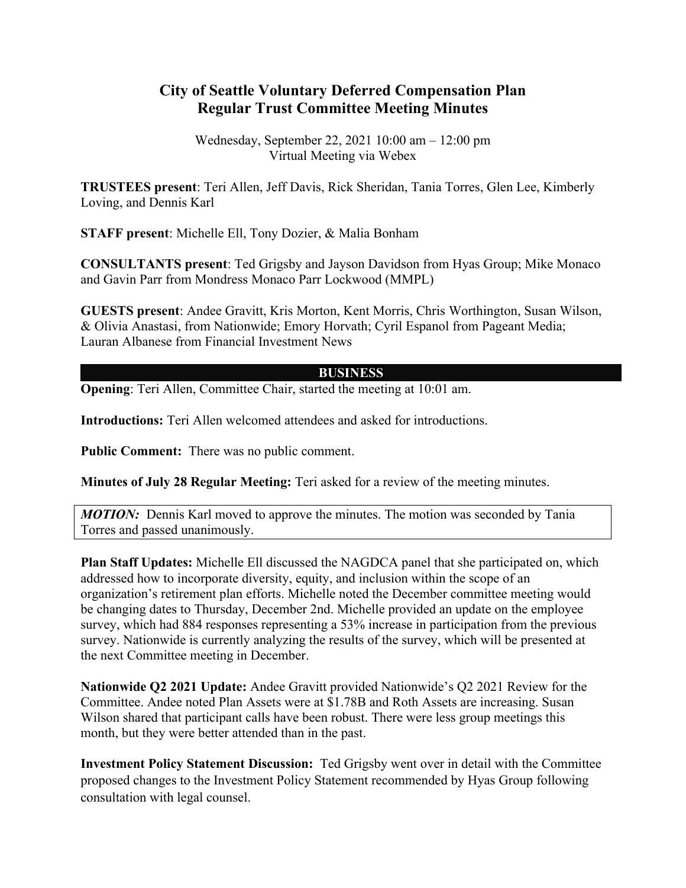## **City of Seattle Voluntary Deferred Compensation Plan Regular Trust Committee Meeting Minutes**

Wednesday, September 22, 2021 10:00 am – 12:00 pm Virtual Meeting via Webex

**TRUSTEES present**: Teri Allen, Jeff Davis, Rick Sheridan, Tania Torres, Glen Lee, Kimberly Loving, and Dennis Karl

**STAFF present**: Michelle Ell, Tony Dozier, & Malia Bonham

**CONSULTANTS present**: Ted Grigsby and Jayson Davidson from Hyas Group; Mike Monaco and Gavin Parr from Mondress Monaco Parr Lockwood (MMPL)

**GUESTS present**: Andee Gravitt, Kris Morton, Kent Morris, Chris Worthington, Susan Wilson, & Olivia Anastasi, from Nationwide; Emory Horvath; Cyril Espanol from Pageant Media; Lauran Albanese from Financial Investment News

## **BUSINESS**

**Opening:** Teri Allen, Committee Chair, started the meeting at 10:01 am.

**Introductions:** Teri Allen welcomed attendees and asked for introductions.

**Public Comment:** There was no public comment.

**Minutes of July 28 Regular Meeting:** Teri asked for a review of the meeting minutes.

*MOTION:* Dennis Karl moved to approve the minutes. The motion was seconded by Tania Torres and passed unanimously.

**Plan Staff Updates:** Michelle Ell discussed the NAGDCA panel that she participated on, which addressed how to incorporate diversity, equity, and inclusion within the scope of an organization's retirement plan efforts. Michelle noted the December committee meeting would be changing dates to Thursday, December 2nd. Michelle provided an update on the employee survey, which had 884 responses representing a 53% increase in participation from the previous survey. Nationwide is currently analyzing the results of the survey, which will be presented at the next Committee meeting in December.

**Nationwide Q2 2021 Update:** Andee Gravitt provided Nationwide's Q2 2021 Review for the Committee. Andee noted Plan Assets were at \$1.78B and Roth Assets are increasing. Susan Wilson shared that participant calls have been robust. There were less group meetings this month, but they were better attended than in the past.

**Investment Policy Statement Discussion:** Ted Grigsby went over in detail with the Committee proposed changes to the Investment Policy Statement recommended by Hyas Group following consultation with legal counsel.